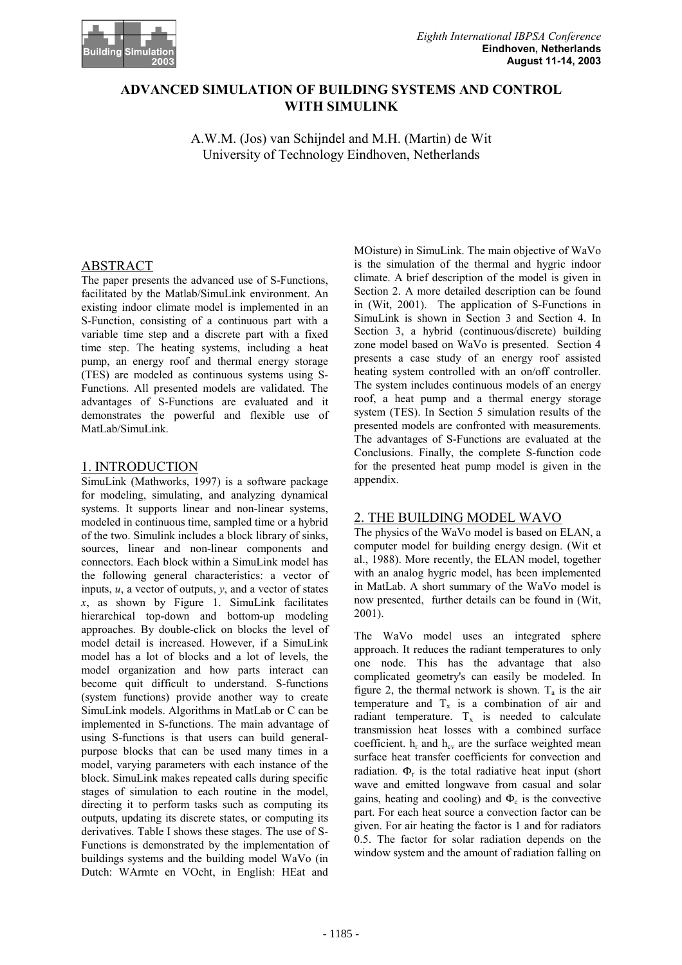

# **ADVANCED SIMULATION OF BUILDING SYSTEMS AND CONTROL WITH SIMULINK**

A.W.M. (Jos) van Schijndel and M.H. (Martin) de Wit University of Technology Eindhoven, Netherlands

# ABSTRACT

The paper presents the advanced use of S-Functions, facilitated by the Matlab/SimuLink environment. An existing indoor climate model is implemented in an S-Function, consisting of a continuous part with a variable time step and a discrete part with a fixed time step. The heating systems, including a heat pump, an energy roof and thermal energy storage (TES) are modeled as continuous systems using S-Functions. All presented models are validated. The advantages of S-Functions are evaluated and it demonstrates the powerful and flexible use of MatLab/SimuLink.

### 1. INTRODUCTION

SimuLink (Mathworks, 1997) is a software package for modeling, simulating, and analyzing dynamical systems. It supports linear and non-linear systems, modeled in continuous time, sampled time or a hybrid of the two. Simulink includes a block library of sinks, sources, linear and non-linear components and connectors. Each block within a SimuLink model has the following general characteristics: a vector of inputs, *u*, a vector of outputs, *y*, and a vector of states  $x$ , as shown by Figure 1. SimuLink facilitates hierarchical top-down and bottom-up modeling approaches. By double-click on blocks the level of model detail is increased. However, if a SimuLink model has a lot of blocks and a lot of levels, the model organization and how parts interact can become quit difficult to understand. S-functions (system functions) provide another way to create SimuLink models. Algorithms in MatLab or C can be implemented in S-functions. The main advantage of using S-functions is that users can build generalpurpose blocks that can be used many times in a model, varying parameters with each instance of the block. SimuLink makes repeated calls during specific stages of simulation to each routine in the model, directing it to perform tasks such as computing its outputs, updating its discrete states, or computing its derivatives. Table I shows these stages. The use of S-Functions is demonstrated by the implementation of buildings systems and the building model WaVo (in Dutch: WArmte en VOcht, in English: HEat and

MOisture) in SimuLink. The main objective of WaVo is the simulation of the thermal and hygric indoor climate. A brief description of the model is given in Section 2. A more detailed description can be found in (Wit, 2001). The application of S-Functions in SimuLink is shown in Section 3 and Section 4. In Section 3, a hybrid (continuous/discrete) building zone model based on WaVo is presented. Section 4 presents a case study of an energy roof assisted heating system controlled with an on/off controller. The system includes continuous models of an energy roof, a heat pump and a thermal energy storage system (TES). In Section 5 simulation results of the presented models are confronted with measurements. The advantages of S-Functions are evaluated at the Conclusions. Finally, the complete S-function code for the presented heat pump model is given in the appendix.

## 2. THE BUILDING MODEL WAVO

The physics of the WaVo model is based on ELAN, a computer model for building energy design. (Wit et al., 1988). More recently, the ELAN model, together with an analog hygric model, has been implemented in MatLab. A short summary of the WaVo model is now presented, further details can be found in (Wit, 2001).

The WaVo model uses an integrated sphere approach. It reduces the radiant temperatures to only one node. This has the advantage that also complicated geometry's can easily be modeled. In figure 2, the thermal network is shown.  $T_a$  is the air temperature and  $T_x$  is a combination of air and radiant temperature.  $T_x$  is needed to calculate transmission heat losses with a combined surface coefficient.  $h_r$  and  $h_{cv}$  are the surface weighted mean surface heat transfer coefficients for convection and radiation.  $\Phi_r$  is the total radiative heat input (short wave and emitted longwave from casual and solar gains, heating and cooling) and  $\Phi_c$  is the convective part. For each heat source a convection factor can be given. For air heating the factor is 1 and for radiators 0.5. The factor for solar radiation depends on the window system and the amount of radiation falling on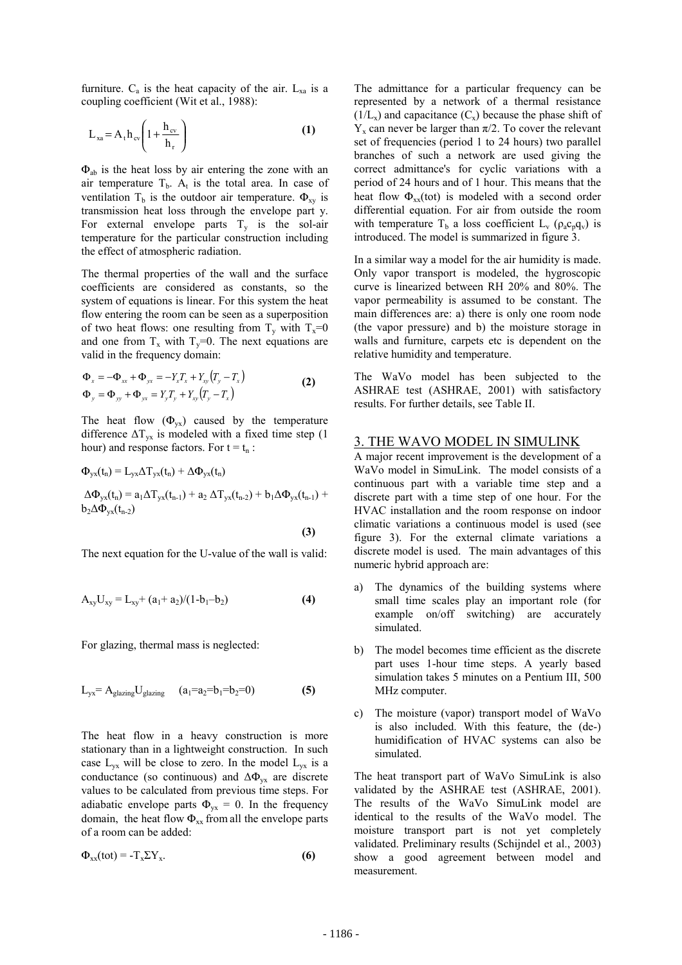furniture.  $C_a$  is the heat capacity of the air.  $L_{xa}$  is a coupling coefficient (Wit et al., 1988):

$$
L_{xa} = A_t h_{cv} \left( 1 + \frac{h_{cv}}{h_r} \right)
$$
 (1)

 $\Phi_{ab}$  is the heat loss by air entering the zone with an air temperature  $T_b$ .  $A_t$  is the total area. In case of ventilation T<sub>b</sub> is the outdoor air temperature.  $\Phi_{xy}$  is transmission heat loss through the envelope part y. For external envelope parts  $T_v$  is the sol-air temperature for the particular construction including the effect of atmospheric radiation.

The thermal properties of the wall and the surface coefficients are considered as constants, so the system of equations is linear. For this system the heat flow entering the room can be seen as a superposition of two heat flows: one resulting from  $T_y$  with  $T_x=0$ and one from  $T_x$  with  $T_y=0$ . The next equations are valid in the frequency domain:

$$
\Phi_x = -\Phi_{xx} + \Phi_{yx} = -Y_x T_x + Y_{xy} (T_y - T_x) \n\Phi_y = \Phi_{yy} + \Phi_{yx} = Y_y T_y + Y_{xy} (T_y - T_x)
$$
\n(2)

The heat flow  $(\Phi_{vx})$  caused by the temperature difference  $\Delta T_{vx}$  is modeled with a fixed time step (1) hour) and response factors. For  $t = t_n$ :

$$
\Phi_{yx}(t_n) = L_{yx} \Delta T_{yx}(t_n) + \Delta \Phi_{yx}(t_n)
$$
\n
$$
\Delta \Phi_{yx}(t_n) = a_1 \Delta T_{yx}(t_{n-1}) + a_2 \Delta T_{yx}(t_{n-2}) + b_1 \Delta \Phi_{yx}(t_{n-1}) + b_2 \Delta \Phi_{yx}(t_{n-2})
$$
\n(3)

The next equation for the U-value of the wall is valid:

$$
A_{xy}U_{xy} = L_{xy} + (a_1 + a_2)/(1 - b_1 - b_2)
$$
 (4)

For glazing, thermal mass is neglected:

$$
L_{yx} = A_{\text{glazing}} U_{\text{glazing}} \quad (a_1 = a_2 = b_1 = b_2 = 0) \tag{5}
$$

The heat flow in a heavy construction is more stationary than in a lightweight construction. In such case  $L_{vx}$  will be close to zero. In the model  $L_{vx}$  is a conductance (so continuous) and  $\Delta \Phi_{vx}$  are discrete values to be calculated from previous time steps. For adiabatic envelope parts  $\Phi_{yx} = 0$ . In the frequency domain, the heat flow  $\Phi_{xx}$  from all the envelope parts of a room can be added:

$$
\Phi_{xx}(tot) = -T_x \Sigma Y_x.
$$
 (6)

The admittance for a particular frequency can be represented by a network of a thermal resistance  $(1/L_x)$  and capacitance  $(C_x)$  because the phase shift of  $Y_x$  can never be larger than  $\pi/2$ . To cover the relevant set of frequencies (period 1 to 24 hours) two parallel branches of such a network are used giving the correct admittance's for cyclic variations with a period of 24 hours and of 1 hour. This means that the heat flow  $\Phi_{xx}$ (tot) is modeled with a second order differential equation. For air from outside the room with temperature T<sub>b</sub> a loss coefficient L<sub>v</sub> ( $\rho_a c_p q_v$ ) is introduced. The model is summarized in figure 3.

In a similar way a model for the air humidity is made. Only vapor transport is modeled, the hygroscopic curve is linearized between RH 20% and 80%. The vapor permeability is assumed to be constant. The main differences are: a) there is only one room node (the vapor pressure) and b) the moisture storage in walls and furniture, carpets etc is dependent on the relative humidity and temperature.

The WaVo model has been subjected to the ASHRAE test (ASHRAE, 2001) with satisfactory results. For further details, see Table II.

### 3. THE WAVO MODEL IN SIMULINK

A major recent improvement is the development of a WaVo model in SimuLink. The model consists of a continuous part with a variable time step and a discrete part with a time step of one hour. For the HVAC installation and the room response on indoor climatic variations a continuous model is used (see figure 3). For the external climate variations a discrete model is used. The main advantages of this numeric hybrid approach are:

- a) The dynamics of the building systems where small time scales play an important role (for example on/off switching) are accurately simulated.
- b) The model becomes time efficient as the discrete part uses 1-hour time steps. A yearly based simulation takes 5 minutes on a Pentium III, 500 MHz computer.
- c) The moisture (vapor) transport model of WaVo is also included. With this feature, the (de-) humidification of HVAC systems can also be simulated.

The heat transport part of WaVo SimuLink is also validated by the ASHRAE test (ASHRAE, 2001). The results of the WaVo SimuLink model are identical to the results of the WaVo model. The moisture transport part is not yet completely validated. Preliminary results (Schijndel et al., 2003) show a good agreement between model and measurement.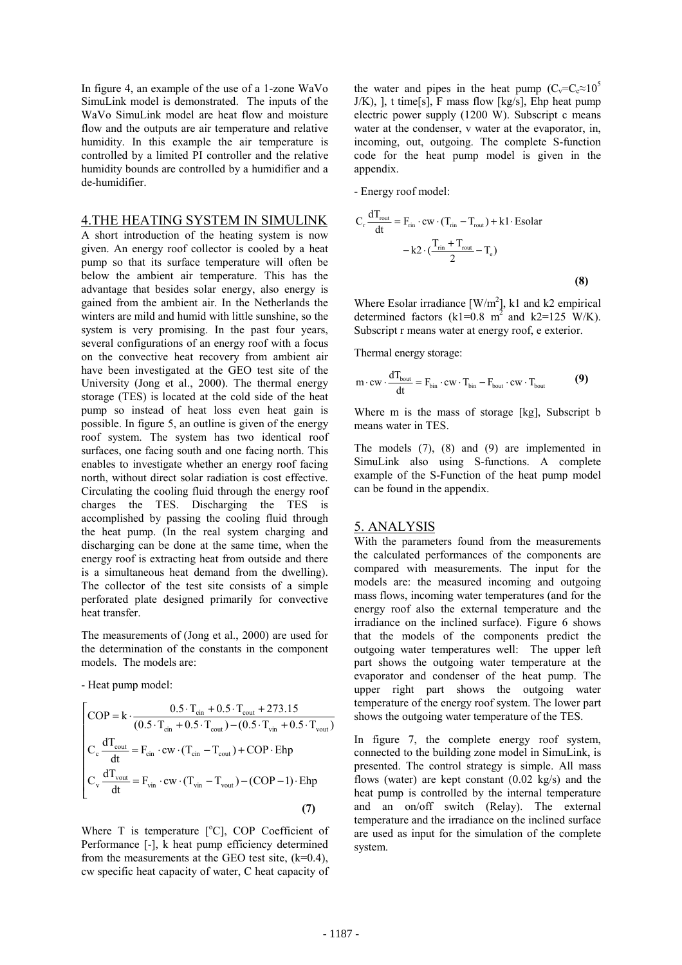In figure 4, an example of the use of a 1-zone WaVo SimuLink model is demonstrated. The inputs of the WaVo SimuLink model are heat flow and moisture flow and the outputs are air temperature and relative humidity. In this example the air temperature is controlled by a limited PI controller and the relative humidity bounds are controlled by a humidifier and a de-humidifier.

#### 4.THE HEATING SYSTEM IN SIMULINK

A short introduction of the heating system is now given. An energy roof collector is cooled by a heat pump so that its surface temperature will often be below the ambient air temperature. This has the advantage that besides solar energy, also energy is gained from the ambient air. In the Netherlands the winters are mild and humid with little sunshine, so the system is very promising. In the past four years, several configurations of an energy roof with a focus on the convective heat recovery from ambient air have been investigated at the GEO test site of the University (Jong et al., 2000). The thermal energy storage (TES) is located at the cold side of the heat pump so instead of heat loss even heat gain is possible. In figure 5, an outline is given of the energy roof system. The system has two identical roof surfaces, one facing south and one facing north. This enables to investigate whether an energy roof facing north, without direct solar radiation is cost effective. Circulating the cooling fluid through the energy roof charges the TES. Discharging the TES is accomplished by passing the cooling fluid through the heat pump. (In the real system charging and discharging can be done at the same time, when the energy roof is extracting heat from outside and there is a simultaneous heat demand from the dwelling). The collector of the test site consists of a simple perforated plate designed primarily for convective heat transfer.

The measurements of (Jong et al., 2000) are used for the determination of the constants in the component models. The models are:

- Heat pump model:

$$
\begin{bmatrix}\n\text{COP} = \mathbf{k} \cdot \frac{0.5 \cdot \text{T}_{\text{cin}} + 0.5 \cdot \text{T}_{\text{out}} + 273.15}{(0.5 \cdot \text{T}_{\text{cin}} + 0.5 \cdot \text{T}_{\text{out}}) - (0.5 \cdot \text{T}_{\text{vin}} + 0.5 \cdot \text{T}_{\text{vout}})} \\
\text{C}_{\text{c}} \frac{d \text{T}_{\text{out}}}{dt} = \text{F}_{\text{cin}} \cdot \text{cw} \cdot (\text{T}_{\text{cin}} - \text{T}_{\text{out}}) + \text{COP} \cdot \text{Ehp} \\
\text{C}_{\text{v}} \frac{d \text{T}_{\text{vout}}}{dt} = \text{F}_{\text{vin}} \cdot \text{cw} \cdot (\text{T}_{\text{vin}} - \text{T}_{\text{vout}}) - (\text{COP} - 1) \cdot \text{Ehp}\n\end{bmatrix}
$$
\n(7)

Where  $T$  is temperature  $[°C]$ , COP Coefficient of Performance [-], k heat pump efficiency determined from the measurements at the GEO test site,  $(k=0.4)$ , cw specific heat capacity of water, C heat capacity of

the water and pipes in the heat pump  $(C_v=C_c \approx 10^5$  $J/K$ ), 1, t time[s], F mass flow [kg/s], Ehp heat pump electric power supply (1200 W). Subscript c means water at the condenser, v water at the evaporator, in, incoming, out, outgoing. The complete S-function code for the heat pump model is given in the appendix.

- Energy roof model:

$$
C_{r} \frac{dT_{\text{rout}}}{dt} = F_{\text{rin}} \cdot \text{cw} \cdot (T_{\text{rin}} - T_{\text{rout}}) + k1 \cdot \text{Esolar}
$$

$$
-k2 \cdot (\frac{T_{\text{rin}} + T_{\text{rout}}}{2} - T_{\text{e}})
$$
(8)

Where Esolar irradiance  $[W/m^2]$ , k1 and k2 empirical determined factors (k1=0.8 m<sup>2</sup> and k2=125 W/K). Subscript r means water at energy roof, e exterior.

Thermal energy storage:

$$
m \cdot cw \cdot \frac{dT_{\text{bout}}}{dt} = F_{\text{bin}} \cdot cw \cdot T_{\text{bin}} - F_{\text{bout}} \cdot cw \cdot T_{\text{bout}} \tag{9}
$$

Where m is the mass of storage [kg], Subscript b means water in TES.

The models (7), (8) and (9) are implemented in SimuLink also using S-functions. A complete example of the S-Function of the heat pump model can be found in the appendix.

#### 5. ANALYSIS

With the parameters found from the measurements the calculated performances of the components are compared with measurements. The input for the models are: the measured incoming and outgoing mass flows, incoming water temperatures (and for the energy roof also the external temperature and the irradiance on the inclined surface). Figure 6 shows that the models of the components predict the outgoing water temperatures well: The upper left part shows the outgoing water temperature at the evaporator and condenser of the heat pump. The upper right part shows the outgoing water temperature of the energy roof system. The lower part shows the outgoing water temperature of the TES.

In figure 7, the complete energy roof system, connected to the building zone model in SimuLink, is presented. The control strategy is simple. All mass flows (water) are kept constant (0.02 kg/s) and the heat pump is controlled by the internal temperature and an on/off switch (Relay). The external temperature and the irradiance on the inclined surface are used as input for the simulation of the complete system.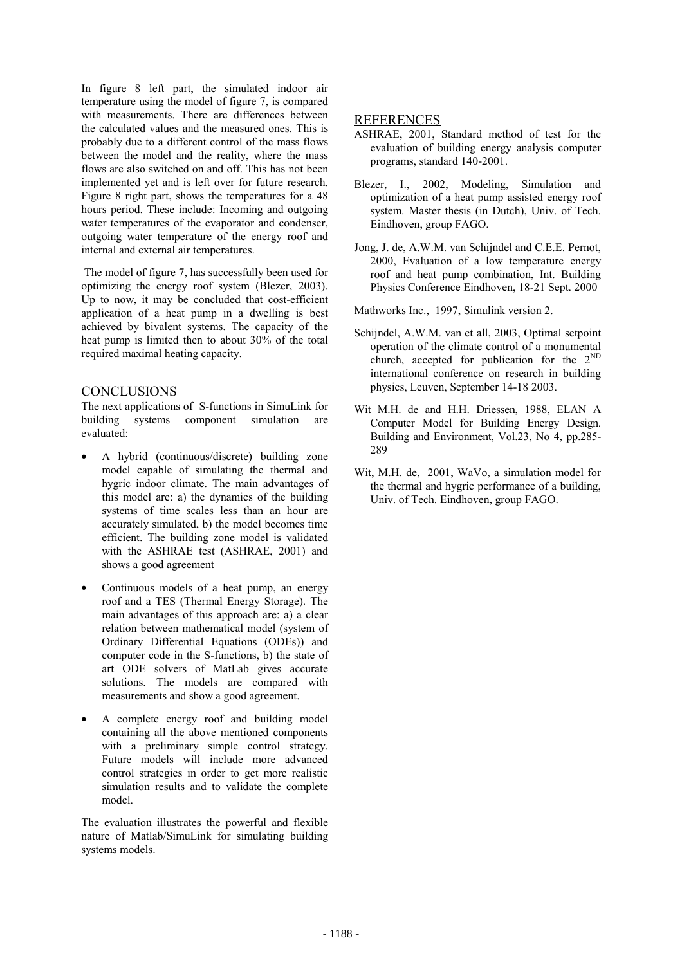In figure 8 left part, the simulated indoor air temperature using the model of figure 7, is compared with measurements. There are differences between the calculated values and the measured ones. This is probably due to a different control of the mass flows between the model and the reality, where the mass flows are also switched on and off. This has not been implemented yet and is left over for future research. Figure 8 right part, shows the temperatures for a 48 hours period. These include: Incoming and outgoing water temperatures of the evaporator and condenser, outgoing water temperature of the energy roof and internal and external air temperatures.

 The model of figure 7, has successfully been used for optimizing the energy roof system (Blezer, 2003). Up to now, it may be concluded that cost-efficient application of a heat pump in a dwelling is best achieved by bivalent systems. The capacity of the heat pump is limited then to about 30% of the total required maximal heating capacity.

#### **CONCLUSIONS**

The next applications of S-functions in SimuLink for building systems component simulation are evaluated:

- A hybrid (continuous/discrete) building zone model capable of simulating the thermal and hygric indoor climate. The main advantages of this model are: a) the dynamics of the building systems of time scales less than an hour are accurately simulated, b) the model becomes time efficient. The building zone model is validated with the ASHRAE test (ASHRAE, 2001) and shows a good agreement
- Continuous models of a heat pump, an energy roof and a TES (Thermal Energy Storage). The main advantages of this approach are: a) a clear relation between mathematical model (system of Ordinary Differential Equations (ODEs)) and computer code in the S-functions, b) the state of art ODE solvers of MatLab gives accurate solutions. The models are compared with measurements and show a good agreement.
- A complete energy roof and building model containing all the above mentioned components with a preliminary simple control strategy. Future models will include more advanced control strategies in order to get more realistic simulation results and to validate the complete model.

The evaluation illustrates the powerful and flexible nature of Matlab/SimuLink for simulating building systems models.

### REFERENCES

- ASHRAE, 2001, Standard method of test for the evaluation of building energy analysis computer programs, standard 140-2001.
- Blezer, I., 2002, Modeling, Simulation and optimization of a heat pump assisted energy roof system. Master thesis (in Dutch), Univ. of Tech. Eindhoven, group FAGO.
- Jong, J. de, A.W.M. van Schijndel and C.E.E. Pernot, 2000, Evaluation of a low temperature energy roof and heat pump combination, Int. Building Physics Conference Eindhoven, 18-21 Sept. 2000

Mathworks Inc., 1997, Simulink version 2.

- Schijndel, A.W.M. van et all, 2003, Optimal setpoint operation of the climate control of a monumental church, accepted for publication for the  $2^{ND}$ international conference on research in building physics, Leuven, September 14-18 2003.
- Wit M.H. de and H.H. Driessen, 1988, ELAN A Computer Model for Building Energy Design. Building and Environment, Vol.23, No 4, pp.285- 289
- Wit, M.H. de, 2001, WaVo, a simulation model for the thermal and hygric performance of a building, Univ. of Tech. Eindhoven, group FAGO.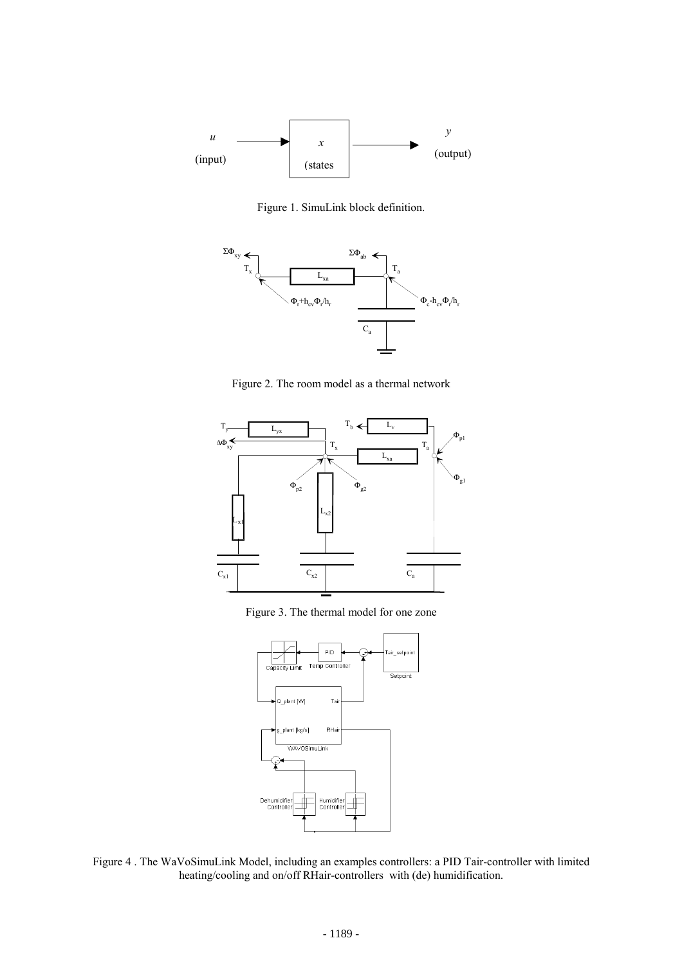

Figure 1. SimuLink block definition.



Figure 2. The room model as a thermal network



Figure 3. The thermal model for one zone



Figure 4 . The WaVoSimuLink Model, including an examples controllers: a PID Tair-controller with limited heating/cooling and on/off RHair-controllers with (de) humidification.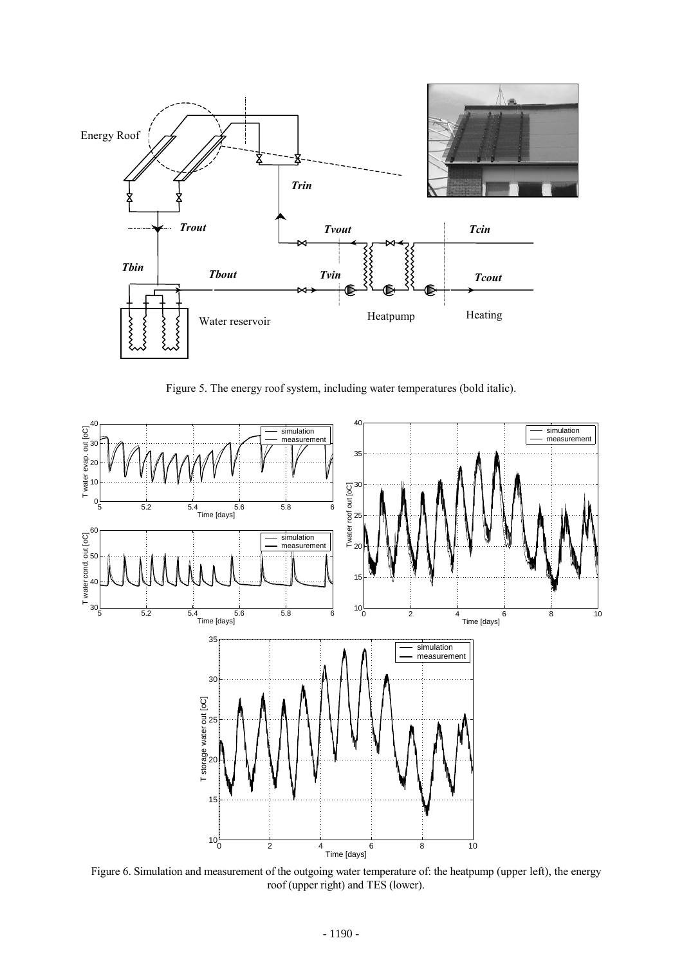

Figure 5. The energy roof system, including water temperatures (bold italic).



Figure 6. Simulation and measurement of the outgoing water temperature of: the heatpump (upper left), the energy roof (upper right) and TES (lower).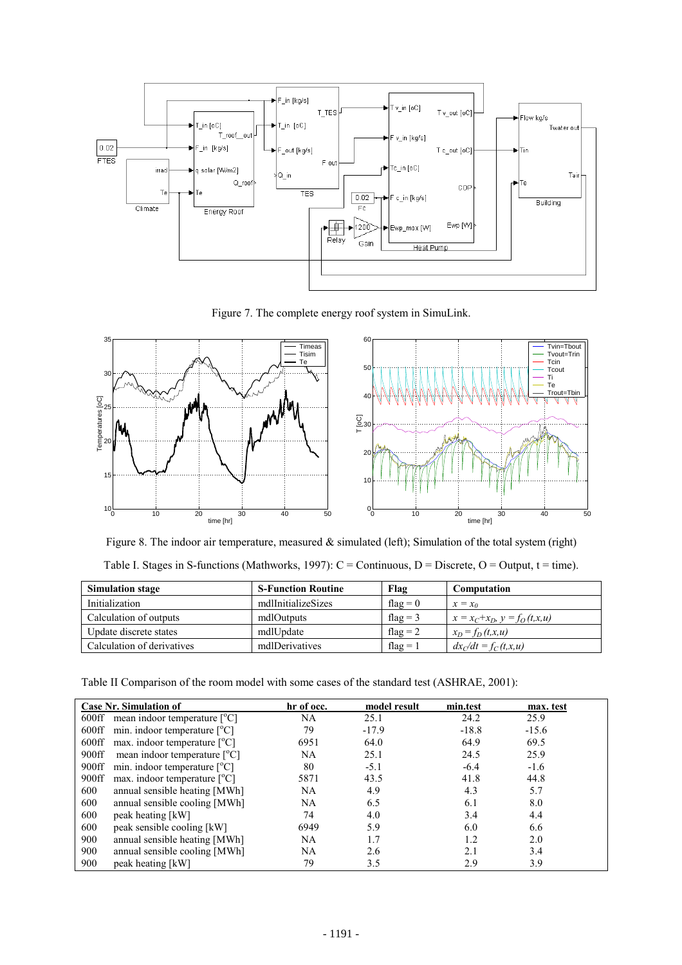![](_page_6_Figure_0.jpeg)

Figure 7. The complete energy roof system in SimuLink.

![](_page_6_Figure_2.jpeg)

Figure 8. The indoor air temperature, measured & simulated (left); Simulation of the total system (right) Table I. Stages in S-functions (Mathworks, 1997):  $C =$  Continuous, D = Discrete, O = Output, t = time).

| <b>Simulation stage</b>    | <b>S-Function Routine</b> | Flag       | Computation                       |
|----------------------------|---------------------------|------------|-----------------------------------|
| Initialization             | mdlInitializeSizes        | flag $= 0$ | $x = x_0$                         |
| Calculation of outputs     | mdlOutputs                | flag = $3$ | $x = x_C + x_D, y = f_O(t, x, u)$ |
| Update discrete states     | mdlUpdate                 | flag $= 2$ | $x_D = f_D(t, x, u)$              |
| Calculation of derivatives | mdlDerivatives            | flag = $1$ | $dx_C/dt = f_C(t,x,u)$            |

Table II Comparison of the room model with some cases of the standard test (ASHRAE, 2001):

| <b>Case Nr. Simulation of</b>                                | hr of occ. | model result | min.test | max. test |
|--------------------------------------------------------------|------------|--------------|----------|-----------|
| 600ff mean indoor temperature $[°C]$                         | NA         | 25.1         | 24.2     | 25.9      |
| min. indoor temperature $\lceil {^{\circ}C} \rceil$<br>600ff | 79         | $-17.9$      | $-18.8$  | $-15.6$   |
| max. indoor temperature $[°C]$<br>$600\mathrm{ff}$           | 6951       | 64.0         | 64.9     | 69.5      |
| 900ff<br>mean indoor temperature $[°C]$                      | <b>NA</b>  | 25.1         | 24.5     | 25.9      |
| min. indoor temperature $\lceil {^{\circ}C} \rceil$<br>900ff | 80         | $-5.1$       | $-6.4$   | $-1.6$    |
| 900ff<br>max. indoor temperature $[°C]$                      | 5871       | 43.5         | 41.8     | 44.8      |
| 600<br>annual sensible heating [MWh]                         | NA         | 4.9          | 4.3      | 5.7       |
| annual sensible cooling [MWh]<br>600                         | NA         | 6.5          | 6.1      | 8.0       |
| 600<br>peak heating [kW]                                     | 74         | 4.0          | 3.4      | 4.4       |
| 600<br>peak sensible cooling [kW]                            | 6949       | 5.9          | 6.0      | 6.6       |
| annual sensible heating [MWh]<br>900                         | <b>NA</b>  | 1.7          | 1.2      | 2.0       |
| 900<br>annual sensible cooling [MWh]                         | NA         | 2.6          | 2.1      | 3.4       |
| 900<br>peak heating [kW]                                     | 79         | 3.5          | 2.9      | 3.9       |